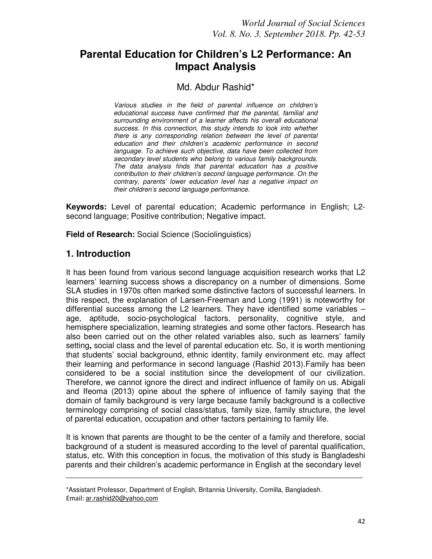# **Parental Education for Children's L2 Performance: An Impact Analysis**

## Md. Abdur Rashid\*

*Various studies in the field of parental influence on children's educational success have confirmed that the parental, familial and surrounding environment of a learner affects his overall educational success. In this connection, this study intends to look into whether there is any corresponding relation between the level of parental education and their children's academic performance in second language. To achieve such objective, data have been collected from secondary level students who belong to various family backgrounds. The data analysis finds that parental education has a positive contribution to their children's second language performance. On the contrary, parents' lower education level has a negative impact on their children's second language performance.* 

**Keywords:** Level of parental education; Academic performance in English; L2 second language; Positive contribution; Negative impact.

**Field of Research:** Social Science (Sociolinguistics)

# **1. Introduction**

It has been found from various second language acquisition research works that L2 learners' learning success shows a discrepancy on a number of dimensions. Some SLA studies in 1970s often marked some distinctive factors of successful learners. In this respect, the explanation of Larsen-Freeman and Long (1991) is noteworthy for differential success among the L2 learners. They have identified some variables – age, aptitude, socio-psychological factors, personality, cognitive style, and hemisphere specialization, learning strategies and some other factors. Research has also been carried out on the other related variables also, such as learners' family setting**,** social class and the level of parental education etc. So, it is worth mentioning that students' social background, ethnic identity, family environment etc. may affect their learning and performance in second language (Rashid 2013).Family has been considered to be a social institution since the development of our civilization. Therefore, we cannot ignore the direct and indirect influence of family on us. Abigali and Ifeoma (2013) opine about the sphere of influence of family saying that the domain of family background is very large because family background is a collective terminology comprising of social class/status, family size, family structure, the level of parental education, occupation and other factors pertaining to family life.

It is known that parents are thought to be the center of a family and therefore, social background of a student is measured according to the level of parental qualification, status, etc. With this conception in focus, the motivation of this study is Bangladeshi parents and their children's academic performance in English at the secondary level

\_\_\_\_\_\_\_\_\_\_\_\_\_\_\_\_\_\_\_\_\_\_\_\_\_\_\_\_\_\_\_\_\_\_\_\_\_\_\_\_\_\_\_\_\_\_\_\_\_\_\_\_\_\_\_\_\_\_\_\_\_\_\_\_\_\_\_

<sup>\*</sup>Assistant Professor, Department of English, Britannia University, Comilla, Bangladesh. Email: ar.rashid20@yahoo.com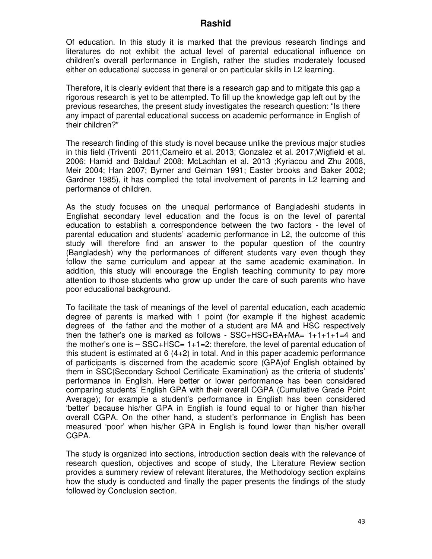Of education. In this study it is marked that the previous research findings and literatures do not exhibit the actual level of parental educational influence on children's overall performance in English, rather the studies moderately focused either on educational success in general or on particular skills in L2 learning.

Therefore, it is clearly evident that there is a research gap and to mitigate this gap a rigorous research is yet to be attempted. To fill up the knowledge gap left out by the previous researches, the present study investigates the research question: "Is there any impact of parental educational success on academic performance in English of their children?"

The research finding of this study is novel because unlike the previous major studies in this field (Triventi 2011;Carneiro et al. 2013; Gonzalez et al. 2017;Wigfield et al. 2006; Hamid and Baldauf 2008; McLachlan et al. 2013 ;Kyriacou and Zhu 2008, Meir 2004; Han 2007; Byrner and Gelman 1991; Easter brooks and Baker 2002; Gardner 1985), it has complied the total involvement of parents in L2 learning and performance of children.

As the study focuses on the unequal performance of Bangladeshi students in Englishat secondary level education and the focus is on the level of parental education to establish a correspondence between the two factors - the level of parental education and students' academic performance in L2, the outcome of this study will therefore find an answer to the popular question of the country (Bangladesh) why the performances of different students vary even though they follow the same curriculum and appear at the same academic examination. In addition, this study will encourage the English teaching community to pay more attention to those students who grow up under the care of such parents who have poor educational background.

To facilitate the task of meanings of the level of parental education, each academic degree of parents is marked with 1 point (for example if the highest academic degrees of the father and the mother of a student are MA and HSC respectively then the father's one is marked as follows - SSC+HSC+BA+MA= 1+1+1+1=4 and the mother's one is – SSC+HSC= 1+1=2; therefore, the level of parental education of this student is estimated at  $6(4+2)$  in total. And in this paper academic performance of participants is discerned from the academic score (GPA)of English obtained by them in SSC(Secondary School Certificate Examination) as the criteria of students' performance in English. Here better or lower performance has been considered comparing students' English GPA with their overall CGPA (Cumulative Grade Point Average); for example a student's performance in English has been considered 'better' because his/her GPA in English is found equal to or higher than his/her overall CGPA. On the other hand, a student's performance in English has been measured 'poor' when his/her GPA in English is found lower than his/her overall CGPA.

The study is organized into sections, introduction section deals with the relevance of research question, objectives and scope of study, the Literature Review section provides a summery review of relevant literatures, the Methodology section explains how the study is conducted and finally the paper presents the findings of the study followed by Conclusion section.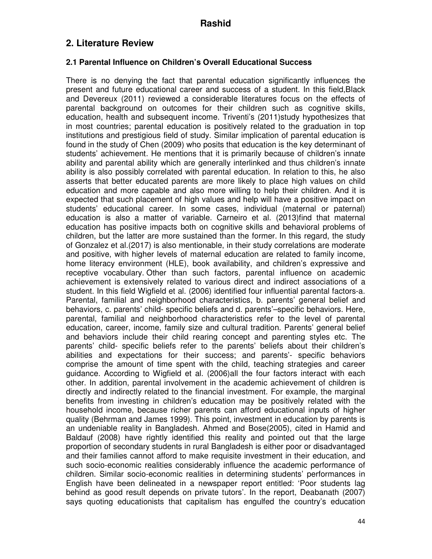# **2. Literature Review**

#### **2.1 Parental Influence on Children's Overall Educational Success**

There is no denying the fact that parental education significantly influences the present and future educational career and success of a student. In this field,Black and Devereux (2011) reviewed a considerable literatures focus on the effects of parental background on outcomes for their children such as cognitive skills, education, health and subsequent income. Triventi's (2011)study hypothesizes that in most countries; parental education is positively related to the graduation in top institutions and prestigious field of study. Similar implication of parental education is found in the study of Chen (2009) who posits that education is the key determinant of students' achievement. He mentions that it is primarily because of children's innate ability and parental ability which are generally interlinked and thus children's innate ability is also possibly correlated with parental education. In relation to this, he also asserts that better educated parents are more likely to place high values on child education and more capable and also more willing to help their children. And it is expected that such placement of high values and help will have a positive impact on students' educational career. In some cases, individual (maternal or paternal) education is also a matter of variable. Carneiro et al. (2013)find that maternal education has positive impacts both on cognitive skills and behavioral problems of children, but the latter are more sustained than the former. In this regard, the study of Gonzalez et al.(2017) is also mentionable, in their study correlations are moderate and positive, with higher levels of maternal education are related to family income, home literacy environment (HLE), book availability, and children's expressive and receptive vocabulary. Other than such factors, parental influence on academic achievement is extensively related to various direct and indirect associations of a student. In this field Wigfield et al. (2006) identified four influential parental factors-a. Parental, familial and neighborhood characteristics, b. parents' general belief and behaviors, c. parents' child- specific beliefs and d. parents'–specific behaviors. Here, parental, familial and neighborhood characteristics refer to the level of parental education, career, income, family size and cultural tradition. Parents' general belief and behaviors include their child rearing concept and parenting styles etc. The parents' child- specific beliefs refer to the parents' beliefs about their children's abilities and expectations for their success; and parents'- specific behaviors comprise the amount of time spent with the child, teaching strategies and career guidance. According to Wigfield et al. (2006)all the four factors interact with each other. In addition, parental involvement in the academic achievement of children is directly and indirectly related to the financial investment. For example, the marginal benefits from investing in children's education may be positively related with the household income, because richer parents can afford educational inputs of higher quality (Behrman and James 1999). This point, investment in education by parents is an undeniable reality in Bangladesh. Ahmed and Bose(2005), cited in Hamid and Baldauf (2008) have rightly identified this reality and pointed out that the large proportion of secondary students in rural Bangladesh is either poor or disadvantaged and their families cannot afford to make requisite investment in their education, and such socio-economic realities considerably influence the academic performance of children. Similar socio-economic realities in determining students' performances in English have been delineated in a newspaper report entitled: 'Poor students lag behind as good result depends on private tutors'. In the report, Deabanath (2007) says quoting educationists that capitalism has engulfed the country's education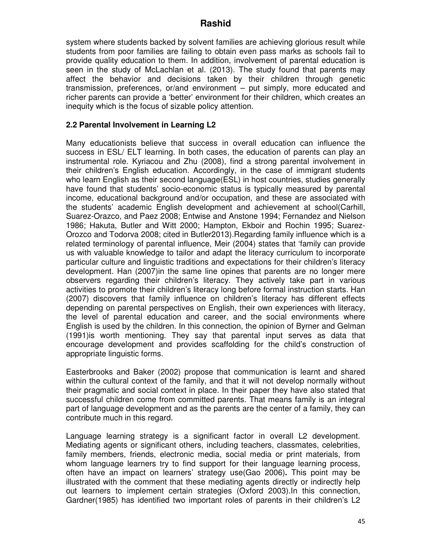system where students backed by solvent families are achieving glorious result while students from poor families are failing to obtain even pass marks as schools fail to provide quality education to them. In addition, involvement of parental education is seen in the study of McLachlan et al. (2013). The study found that parents may affect the behavior and decisions taken by their children through genetic transmission, preferences, or/and environment – put simply, more educated and richer parents can provide a 'better' environment for their children, which creates an inequity which is the focus of sizable policy attention.

### **2.2 Parental Involvement in Learning L2**

Many educationists believe that success in overall education can influence the success in ESL/ ELT learning. In both cases, the education of parents can play an instrumental role. Kyriacou and Zhu (2008), find a strong parental involvement in their children's English education. Accordingly, in the case of immigrant students who learn English as their second language(ESL) in host countries, studies generally have found that students' socio-economic status is typically measured by parental income, educational background and/or occupation, and these are associated with the students' academic English development and achievement at school(Carhill, Suarez-Orazco, and Paez 2008; Entwise and Anstone 1994; Fernandez and Nielson 1986; Hakuta, Butler and Witt 2000; Hampton, Ekboir and Rochin 1995; Suarez-Orozco and Todorva 2008; cited in Butler2013).Regarding family influence which is a related terminology of parental influence, Meir (2004) states that 'family can provide us with valuable knowledge to tailor and adapt the literacy curriculum to incorporate particular culture and linguistic traditions and expectations for their children's literacy development. Han (2007)in the same line opines that parents are no longer mere observers regarding their children's literacy. They actively take part in various activities to promote their children's literacy long before formal instruction starts. Han (2007) discovers that family influence on children's literacy has different effects depending on parental perspectives on English, their own experiences with literacy, the level of parental education and career, and the social environments where English is used by the children. In this connection, the opinion of Byrner and Gelman (1991)is worth mentioning. They say that parental input serves as data that encourage development and provides scaffolding for the child's construction of appropriate linguistic forms.

Easterbrooks and Baker (2002) propose that communication is learnt and shared within the cultural context of the family, and that it will not develop normally without their pragmatic and social context in place. In their paper they have also stated that successful children come from committed parents. That means family is an integral part of language development and as the parents are the center of a family, they can contribute much in this regard.

Language learning strategy is a significant factor in overall L2 development. Mediating agents or significant others, including teachers, classmates, celebrities, family members, friends, electronic media, social media or print materials, from whom language learners try to find support for their language learning process, often have an impact on learners' strategy use(Gao 2006)**.** This point may be illustrated with the comment that these mediating agents directly or indirectly help out learners to implement certain strategies (Oxford 2003).In this connection, Gardner(1985) has identified two important roles of parents in their children's L2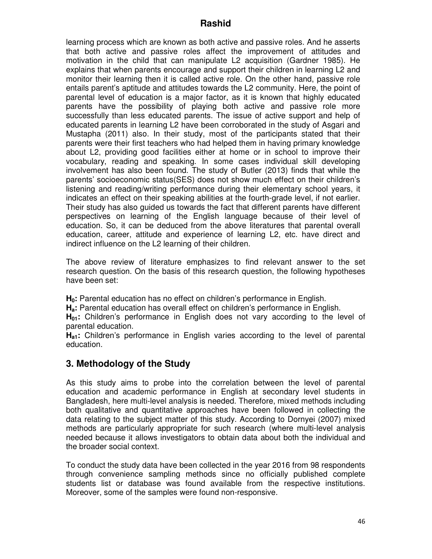learning process which are known as both active and passive roles. And he asserts that both active and passive roles affect the improvement of attitudes and motivation in the child that can manipulate L2 acquisition (Gardner 1985). He explains that when parents encourage and support their children in learning L2 and monitor their learning then it is called active role. On the other hand, passive role entails parent's aptitude and attitudes towards the L2 community. Here, the point of parental level of education is a major factor, as it is known that highly educated parents have the possibility of playing both active and passive role more successfully than less educated parents. The issue of active support and help of educated parents in learning L2 have been corroborated in the study of Asgari and Mustapha (2011) also. In their study, most of the participants stated that their parents were their first teachers who had helped them in having primary knowledge about L2, providing good facilities either at home or in school to improve their vocabulary, reading and speaking. In some cases individual skill developing involvement has also been found. The study of Butler (2013) finds that while the parents' socioeconomic status(SES) does not show much effect on their children's listening and reading/writing performance during their elementary school years, it indicates an effect on their speaking abilities at the fourth-grade level, if not earlier. Their study has also guided us towards the fact that different parents have different perspectives on learning of the English language because of their level of education. So, it can be deduced from the above literatures that parental overall education, career, attitude and experience of learning L2, etc. have direct and indirect influence on the L2 learning of their children.

The above review of literature emphasizes to find relevant answer to the set research question. On the basis of this research question, the following hypotheses have been set:

**H0:** Parental education has no effect on children's performance in English.

**Ha:** Parental education has overall effect on children's performance in English.

**H01:** Children's performance in English does not vary according to the level of parental education.

**Ha1:** Children's performance in English varies according to the level of parental education.

# **3. Methodology of the Study**

As this study aims to probe into the correlation between the level of parental education and academic performance in English at secondary level students in Bangladesh, here multi-level analysis is needed. Therefore, mixed methods including both qualitative and quantitative approaches have been followed in collecting the data relating to the subject matter of this study. According to Dornyei (2007) mixed methods are particularly appropriate for such research (where multi-level analysis needed because it allows investigators to obtain data about both the individual and the broader social context.

To conduct the study data have been collected in the year 2016 from 98 respondents through convenience sampling methods since no officially published complete students list or database was found available from the respective institutions. Moreover, some of the samples were found non-responsive.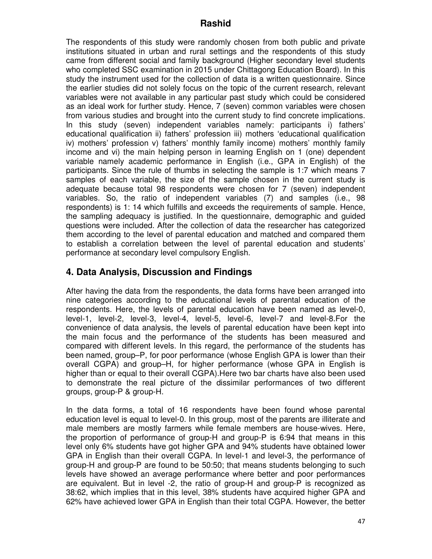The respondents of this study were randomly chosen from both public and private institutions situated in urban and rural settings and the respondents of this study came from different social and family background (Higher secondary level students who completed SSC examination in 2015 under Chittagong Education Board). In this study the instrument used for the collection of data is a written questionnaire. Since the earlier studies did not solely focus on the topic of the current research, relevant variables were not available in any particular past study which could be considered as an ideal work for further study. Hence, 7 (seven) common variables were chosen from various studies and brought into the current study to find concrete implications. In this study (seven) independent variables namely: participants i) fathers' educational qualification ii) fathers' profession iii) mothers 'educational qualification iv) mothers' profession v) fathers' monthly family income) mothers' monthly family income and vi) the main helping person in learning English on 1 (one) dependent variable namely academic performance in English (i.e., GPA in English) of the participants. Since the rule of thumbs in selecting the sample is 1:7 which means 7 samples of each variable, the size of the sample chosen in the current study is adequate because total 98 respondents were chosen for 7 (seven) independent variables. So, the ratio of independent variables (7) and samples (i.e., 98 respondents) is 1: 14 which fulfills and exceeds the requirements of sample. Hence, the sampling adequacy is justified. In the questionnaire, demographic and guided questions were included. After the collection of data the researcher has categorized them according to the level of parental education and matched and compared them to establish a correlation between the level of parental education and students' performance at secondary level compulsory English.

# **4. Data Analysis, Discussion and Findings**

After having the data from the respondents, the data forms have been arranged into nine categories according to the educational levels of parental education of the respondents. Here, the levels of parental education have been named as level-0, level-1, level-2, level-3, level-4, level-5, level-6, level-7 and level-8.For the convenience of data analysis, the levels of parental education have been kept into the main focus and the performance of the students has been measured and compared with different levels. In this regard, the performance of the students has been named, group–P, for poor performance (whose English GPA is lower than their overall CGPA) and group–H, for higher performance (whose GPA in English is higher than or equal to their overall CGPA).Here two bar charts have also been used to demonstrate the real picture of the dissimilar performances of two different groups, group-P & group-H.

In the data forms, a total of 16 respondents have been found whose parental education level is equal to level-0. In this group, most of the parents are illiterate and male members are mostly farmers while female members are house-wives. Here, the proportion of performance of group-H and group-P is 6:94 that means in this level only 6% students have got higher GPA and 94% students have obtained lower GPA in English than their overall CGPA. In level-1 and level-3, the performance of group-H and group-P are found to be 50:50; that means students belonging to such levels have showed an average performance where better and poor performances are equivalent. But in level -2, the ratio of group-H and group-P is recognized as 38:62, which implies that in this level, 38% students have acquired higher GPA and 62% have achieved lower GPA in English than their total CGPA. However, the better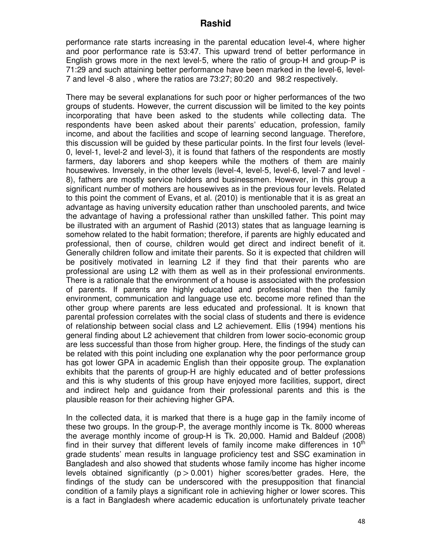performance rate starts increasing in the parental education level-4, where higher and poor performance rate is 53:47. This upward trend of better performance in English grows more in the next level-5, where the ratio of group-H and group-P is 71:29 and such attaining better performance have been marked in the level-6, level-7 and level -8 also , where the ratios are 73:27; 80:20 and 98:2 respectively.

There may be several explanations for such poor or higher performances of the two groups of students. However, the current discussion will be limited to the key points incorporating that have been asked to the students while collecting data. The respondents have been asked about their parents' education, profession, family income, and about the facilities and scope of learning second language. Therefore, this discussion will be guided by these particular points. In the first four levels (level-0, level-1, level-2 and level-3), it is found that fathers of the respondents are mostly farmers, day laborers and shop keepers while the mothers of them are mainly housewives. Inversely, in the other levels (level-4, level-5, level-6, level-7 and level - 8), fathers are mostly service holders and businessmen. However, in this group a significant number of mothers are housewives as in the previous four levels. Related to this point the comment of Evans, et al. (2010) is mentionable that it is as great an advantage as having university education rather than unschooled parents, and twice the advantage of having a professional rather than unskilled father. This point may be illustrated with an argument of Rashid (2013) states that as language learning is somehow related to the habit formation; therefore, if parents are highly educated and professional, then of course, children would get direct and indirect benefit of it. Generally children follow and imitate their parents. So it is expected that children will be positively motivated in learning L2 if they find that their parents who are professional are using L2 with them as well as in their professional environments. There is a rationale that the environment of a house is associated with the profession of parents. If parents are highly educated and professional then the family environment, communication and language use etc. become more refined than the other group where parents are less educated and professional. It is known that parental profession correlates with the social class of students and there is evidence of relationship between social class and L2 achievement. Ellis (1994) mentions his general finding about L2 achievement that children from lower socio-economic group are less successful than those from higher group. Here, the findings of the study can be related with this point including one explanation why the poor performance group has got lower GPA in academic English than their opposite group. The explanation exhibits that the parents of group-H are highly educated and of better professions and this is why students of this group have enjoyed more facilities, support, direct and indirect help and guidance from their professional parents and this is the plausible reason for their achieving higher GPA.

In the collected data, it is marked that there is a huge gap in the family income of these two groups. In the group-P, the average monthly income is Tk. 8000 whereas the average monthly income of group-H is Tk. 20,000. Hamid and Baldeuf (2008) find in their survey that different levels of family income make differences in  $10<sup>th</sup>$ grade students' mean results in language proficiency test and SSC examination in Bangladesh and also showed that students whose family income has higher income levels obtained significantly  $(p > 0.001)$  higher scores/better grades. Here, the findings of the study can be underscored with the presupposition that financial condition of a family plays a significant role in achieving higher or lower scores. This is a fact in Bangladesh where academic education is unfortunately private teacher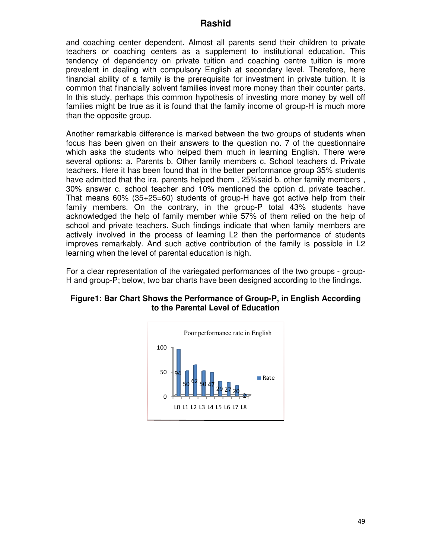and coaching center dependent. Almost all parents send their children to private and coaching center dependent. Almost all parents send their children to private<br>teachers or coaching centers as a supplement to institutional education. This tendency of dependency on private tuition and coaching centre tuition is more prevalent in dealing with compulsory English at secondary level. Therefore, here financial ability of a family is the prerequisite for investment in private tuition. It is common that financially solvent families invest more money than their counter parts. In this study, perhaps this common hypothesis of investing more money by well off families might be true as it is found that the family income of group-H is much more than the opposite group.

Another remarkable difference is marked between the two groups of students when focus has been given on their answers to the question no. 7 of the questionnaire which asks the students who helped them much in learning English. There were several options: a. Parents b. Other family members c. School teacher . School teachers d. Private teachers. Here it has been found that in the better performance group 35% students have admitted that the ira. parents helped them, 25%said b. other family members, have admitted that the ira. parents helped them , 25%said b. other family members ,<br>30% answer c. school teacher and 10% mentioned the option d. private teacher. That means 60% (35+25=60) students of group-H have got active help from their family members. On the contrary, in the group-P total 43% students have That means 60% (35+25=60) students of group-H have got active help from their<br>family members. On the contrary, in the group-P total 43% students have<br>acknowledged the help of family member while 57% of them relied on the h school and private teachers. Such findings indicate that when family members are actively involved in the process of learning L2 then the performance of students actively involved in the process of learning L2 then the performance of students<br>improves remarkably. And such active contribution of the family is possible in L2 learning when the level of parental education is high.

For a clear representation of the variegated performances of the two groups - group-For a clear representation of the variegated performances of the two groups - group<br>H and group-P; below, two bar charts have been designed according to the findings.

#### Figure1: Bar Chart Shows the Performance of Group-P, in English According **to the Parental Level of Education the Education**

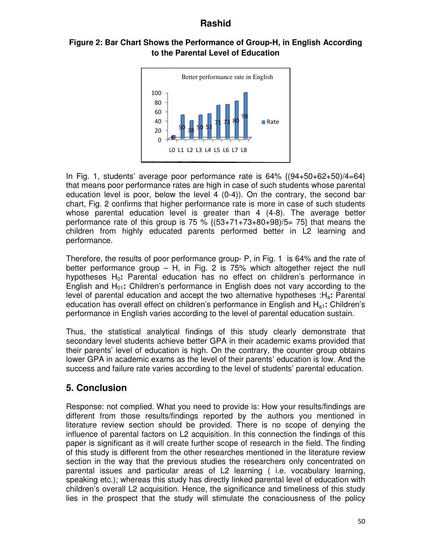### Figure 2: Bar Chart Shows the Performance of Group-H, in English According **to the Parental Level of Education the Education**



In Fig. 1, students' average poor performance rate is  $64\%$   $(94+50+62+50)/4=64$ that means poor performance rates are high in case of such students whose parental that means poor performance rates are high in case of such students whose parental<br>education level is poor, below the level 4 (0-4)). On the contrary, the second bar chart, Fig. 2 confirms that higher performance rate is more in case of such students whose parental education level is greater than 4 (4-8). The average better performance rate of this group is 75 %  $\{(53+71+73+80+98)/5= 75\}$  that means the children from highly educated parents performed better in L2 learning and performance. that means poor performance rates are high in case of such students whose parental<br>education level is poor, below the level 4 (0-4)). On the contrary, the second bar<br>chart, Fig. 2 confirms that higher performance rate is m

Therefore, the results of poor performance group- P, in Fig. 1 is 64% and the rate of better performance group – H, in Fig. 2 is 75% which altogether reject the null hypotheses H0**:** Parental education has no effect on children's performance in English and H01**:** Children's performance in English does not vary according to the level of parental education and accept the two alternative hypotheses :H education has overall effect on children's performance in English and H<sub>a1</sub>: Children's performance in English varies according to the l level of parental education sustain.

Thus, the statistical analytical findings of this study clearly demonstrate that secondary level students achieve better GPA in their academic exams provided that their parents' level of education is high. On the contrary, the counter group obtains lower GPA in academic exams as the level of their parents' education is low. And the success and failure rate varies according to the level of students' parental education. n is high. On the contrary, the counter group obtains<br>as the level of their parents' education is low. And the<br>according to the level of students' parental education.

# **5. Conclusion**

Response: not complied. What you need to provide is: How your results/findings are different from those results/findings reported by the authors you mentioned in different from those results/findings reported by the authors you mentioned in<br>literature review section should be provided. There is no scope of denying the influence of parental factors on L2 acquisition. In this connection the findings of this paper is significant as it will create further scope of research in the field. The finding of this study is different from the other researches mentioned in the literature review of this study is different from the other researches mentioned in the literature review<br>section in the way that the previous studies the researchers only concentrated on parental issues and particular areas of L2 learning ( i.e. vocabulary learning, speaking etc.); whereas this study has directly linked parental level of education with parental issues and particular areas of L2 learning ( i.e. vocabulary learning,<br>speaking etc.); whereas this study has directly linked parental level of education with<br>children's overall L2 acquisition. Hence, the signific lies in the prospect that the study will stimulate the consciousness of the policy performance in English varies according to the level of parental education sustain.<br>Thus, the statistical analytical findings of this study clearly demonstrate that<br>their parents' level of education is high. On the contrar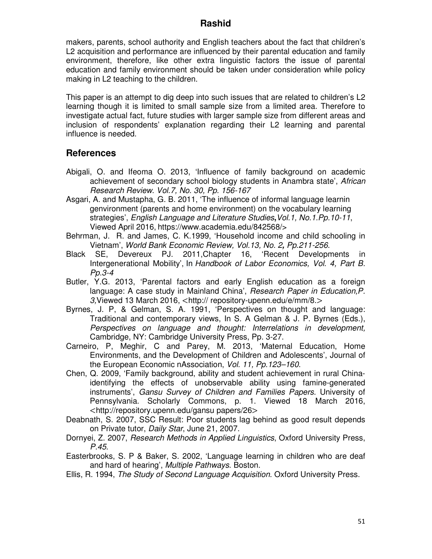makers, parents, school authority and English teachers about the fact that children's L2 acquisition and performance are influenced by their parental education and family environment, therefore, like other extra linguistic factors the issue of parental education and family environment should be taken under consideration while policy making in L2 teaching to the children.

This paper is an attempt to dig deep into such issues that are related to children's L2 learning though it is limited to small sample size from a limited area. Therefore to investigate actual fact, future studies with larger sample size from different areas and inclusion of respondents' explanation regarding their L2 learning and parental influence is needed.

### **References**

- Abigali, O. and Ifeoma O. 2013, 'Influence of family background on academic achievement of secondary school biology students in Anambra state', *African Research Review*. *Vol.7, No. 30, Pp. 156-167*
- Asgari, A. and Mustapha, G. B. 2011, 'The influence of informal language learnin genvironment (parents and home environment) on the vocabulary learning strategies', *English Language and Literature Studies***,***Vol.1, No.1.Pp.10-11*, Viewed April 2016, https://www.academia.edu/842568/>
- Behrman, J. R. and James, C. K.1999, 'Household income and child schooling in Vietnam', *World Bank Economic Review, Vol.13, No. 2***,** *Pp.211-256*.
- Devereux PJ. 2011, Chapter 16, Intergenerational Mobility', In *Handbook of Labor Economics, Vol. 4, Part B. Pp.3-4*
- Butler, Y.G. 2013, 'Parental factors and early English education as a foreign language: A case study in Mainland China', *Research Paper in Education,P. 3,*Viewed 13 March 2016, <http:// repository-upenn.edu/e/mm/8.>
- Byrnes, J. P, & Gelman, S. A. 1991, 'Perspectives on thought and language: Traditional and contemporary views, In S. A Gelman & J. P. Byrnes (Eds.), *Perspectives on language and thought: Interrelations in development,*  Cambridge, NY: Cambridge University Press, Pp. 3-27.
- Carneiro, P, Meghir, C and Parey, M. 2013, 'Maternal Education, Home Environments, and the Development of Children and Adolescents', Journal of the European Economic nAssociation, *Vol. 11, Pp.123–160*.
- Chen, Q. 2009, 'Family background, ability and student achievement in rural Chinaidentifying the effects of unobservable ability using famine-generated instruments', *Gansu Survey of Children and Families Papers.* University of Pennsylvania. Scholarly Commons, p. 1. Viewed 18 March 2016, <http://repository.upenn.edu/gansu papers/26>
- Deabnath, S. 2007, SSC Result: Poor students lag behind as good result depends on Private tutor, *Daily Star*, June 21, 2007.
- Dornyei, Z. 2007, *Research Methods in Applied Linguistics*, Oxford University Press, *P.45*.
- Easterbrooks, S. P & Baker, S. 2002, 'Language learning in children who are deaf and hard of hearing', *Multiple Pathways*. Boston.
- Ellis, R. 1994, *The Study of Second Language Acquisition*. Oxford University Press.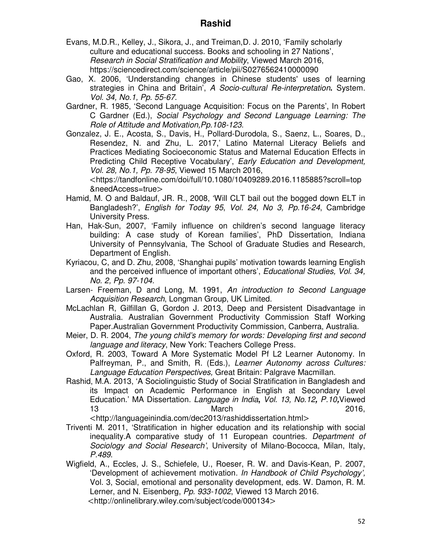- Evans, M.D.R., Kelley, J., Sikora, J., and Treiman,D. J. 2010, 'Family scholarly culture and educational success. Books and schooling in 27 Nations', *Research in Social Stratification and Mobility*, Viewed March 2016, https://sciencedirect.com/science/article/pii/S0276562410000090
- Gao, X. 2006, 'Understanding changes in Chinese students' uses of learning strategies in China and Britain', *A Socio-cultural Re-interpretation***.** System. *Vol. 34, No.1, Pp. 55-67*.
- Gardner, R. 1985, 'Second Language Acquisition: Focus on the Parents', In Robert C Gardner (Ed.), *Social Psychology and Second Language Learning: The Role of Attitude and Motivation,Pp.108-123*.
- Gonzalez, J. E., Acosta, S., Davis, H., Pollard-Durodola, S., Saenz, L., Soares, D., Resendez, N. and Zhu, L. 2017,' Latino Maternal Literacy Beliefs and Practices Mediating Socioeconomic Status and Maternal Education Effects in Predicting Child Receptive Vocabulary', *Early Education and Development, Vol. 28, No.1, Pp. 78-95*, Viewed 15 March 2016,

<https://tandfonline.com/doi/full/10.1080/10409289.2016.1185885?scroll=top &needAccess=true>

- Hamid, M. O and Baldauf, JR. R., 2008, 'Will CLT bail out the bogged down ELT in Bangladesh?', *English for Today 95*, *Vol. 24, No 3, Pp.16-24*, Cambridge University Press.
- Han, Hak-Sun, 2007, 'Family influence on children's second language literacy building: A case study of Korean families', PhD Dissertation, Indiana University of Pennsylvania, The School of Graduate Studies and Research, Department of English.
- Kyriacou, C, and D. Zhu, 2008, 'Shanghai pupils' motivation towards learning English and the perceived influence of important others', *Educational Studies, Vol. 34, No. 2, Pp. 97-104.*
- Larsen- Freeman, D and Long, M. 1991, *An introduction to Second Language Acquisition Research*, Longman Group, UK Limited.
- McLachlan R, Gilfillan G, Gordon J. 2013, Deep and Persistent Disadvantage in Australia. Australian Government Productivity Commission Staff Working Paper.Australian Government Productivity Commission, Canberra, Australia.
- Meier, D. R. 2004, *The young child's memory for words: Developing first and second language and literacy*, New York: Teachers College Press.
- Oxford, R. 2003, Toward A More Systematic Model Pf L2 Learner Autonomy. In Palfreyman, P., and Smith, R. (Eds.), *Learner Autonomy across Cultures: Language Education Perspectives,* Great Britain: Palgrave Macmillan.
- Rashid, M.A. 2013, 'A Sociolinguistic Study of Social Stratification in Bangladesh and its Impact on Academic Performance in English at Secondary Level Education.' MA Dissertation*. Language in India***,** *Vol. 13, No.12***,** *P.10***,**Viewed 13 March 2016,

<http://languageinindia.com/dec2013/rashiddissertation.html>

- Triventi M. 2011, 'Stratification in higher education and its relationship with social inequality.A comparative study of 11 European countries. *Department of Sociology and Social Research'*, University of Milano-Bococca, Milan, Italy, *P.489*.
- Wigfield, A., Eccles, J. S., Schiefele, U., Roeser, R. W. and Davis-Kean, P. 2007, 'Development of achievement motivation*. In Handbook of Child Psychology',*  Vol. 3, Social, emotional and personality development, eds. W. Damon, R. M. Lerner, and N. Eisenberg, *Pp. 933-1002*, Viewed 13 March 2016. <http://onlinelibrary.wiley.com/subject/code/000134>